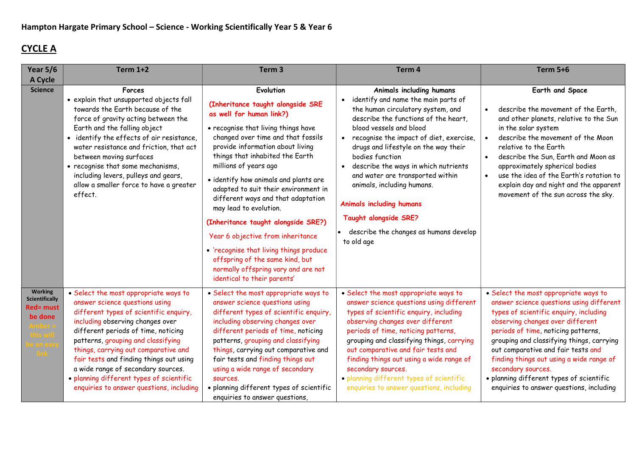## CYCLE A

| Year $5/6$<br>A Cycle                                                  | <b>Term 1+2</b>                                                                                                                                                                                                                                                                                                                                                                                                                                     | Term <sub>3</sub>                                                                                                                                                                                                                                                                                                                                                                                                                                                                                                                                                                                                                        | Term 4                                                                                                                                                                                                                                                                                                                                                                                                                                                                                                      | <b>Term 5+6</b>                                                                                                                                                                                                                                                                                                                                                                                                                                     |
|------------------------------------------------------------------------|-----------------------------------------------------------------------------------------------------------------------------------------------------------------------------------------------------------------------------------------------------------------------------------------------------------------------------------------------------------------------------------------------------------------------------------------------------|------------------------------------------------------------------------------------------------------------------------------------------------------------------------------------------------------------------------------------------------------------------------------------------------------------------------------------------------------------------------------------------------------------------------------------------------------------------------------------------------------------------------------------------------------------------------------------------------------------------------------------------|-------------------------------------------------------------------------------------------------------------------------------------------------------------------------------------------------------------------------------------------------------------------------------------------------------------------------------------------------------------------------------------------------------------------------------------------------------------------------------------------------------------|-----------------------------------------------------------------------------------------------------------------------------------------------------------------------------------------------------------------------------------------------------------------------------------------------------------------------------------------------------------------------------------------------------------------------------------------------------|
| <b>Science</b>                                                         | Forces<br>• explain that unsupported objects fall<br>towards the Earth because of the<br>force of gravity acting between the<br>Earth and the falling object<br>• identify the effects of air resistance,<br>water resistance and friction, that act<br>between moving surfaces<br>• recognise that some mechanisms,<br>including levers, pulleys and gears,<br>allow a smaller force to have a greater<br>effect.                                  | Evolution<br>(Inheritance taught alongside SRE<br>as well for human link?)<br>• recognise that living things have<br>changed over time and that fossils<br>provide information about living<br>things that inhabited the Earth<br>millions of years ago<br>· identify how animals and plants are<br>adapted to suit their environment in<br>different ways and that adaptation<br>may lead to evolution.<br>(Inheritance taught alongside SRE?)<br>Year 6 objective from inheritance<br>• 'recognise that living things produce<br>offspring of the same kind, but<br>normally offspring vary and are not<br>identical to their parents' | Animals including humans<br>identify and name the main parts of<br>the human circulatory system, and<br>describe the functions of the heart,<br>blood vessels and blood<br>recognise the impact of diet, exercise,<br>drugs and lifestyle on the way their<br>bodies function<br>describe the ways in which nutrients<br>and water are transported within<br>animals, including humans.<br><b>Animals including humans</b><br>Taught alongside SRE?<br>describe the changes as humans develop<br>to old age | Earth and Space<br>describe the movement of the Earth,<br>$\bullet$<br>and other planets, relative to the Sun<br>in the solar system<br>describe the movement of the Moon<br>relative to the Earth<br>describe the Sun, Earth and Moon as<br>approximately spherical bodies<br>use the idea of the Earth's rotation to<br>explain day and night and the apparent<br>movement of the sun across the sky.                                             |
| <b>Working</b><br><b>Scientifically</b><br><b>Red= must</b><br>be done | • Select the most appropriate ways to<br>answer science questions using<br>different types of scientific enquiry,<br>including observing changes over<br>different periods of time, noticing<br>patterns, grouping and classifying<br>things, carrying out comparative and<br>fair tests and finding things out using<br>a wide range of secondary sources.<br>· planning different types of scientific<br>enquiries to answer questions, including | • Select the most appropriate ways to<br>answer science questions using<br>different types of scientific enquiry,<br>including observing changes over<br>different periods of time, noticing<br>patterns, grouping and classifying<br>things, carrying out comparative and<br>fair tests and finding things out<br>using a wide range of secondary<br>sources.<br>· planning different types of scientific<br>enquiries to answer questions,                                                                                                                                                                                             | • Select the most appropriate ways to<br>answer science questions using different<br>types of scientific enquiry, including<br>observing changes over different<br>periods of time, noticing patterns,<br>grouping and classifying things, carrying<br>out comparative and fair tests and<br>finding things out using a wide range of<br>secondary sources.<br>· planning different types of scientific<br>enquiries to answer questions, including                                                         | • Select the most appropriate ways to<br>answer science questions using different<br>types of scientific enquiry, including<br>observing changes over different<br>periods of time, noticing patterns,<br>grouping and classifying things, carrying<br>out comparative and fair tests and<br>finding things out using a wide range of<br>secondary sources.<br>· planning different types of scientific<br>enquiries to answer questions, including |